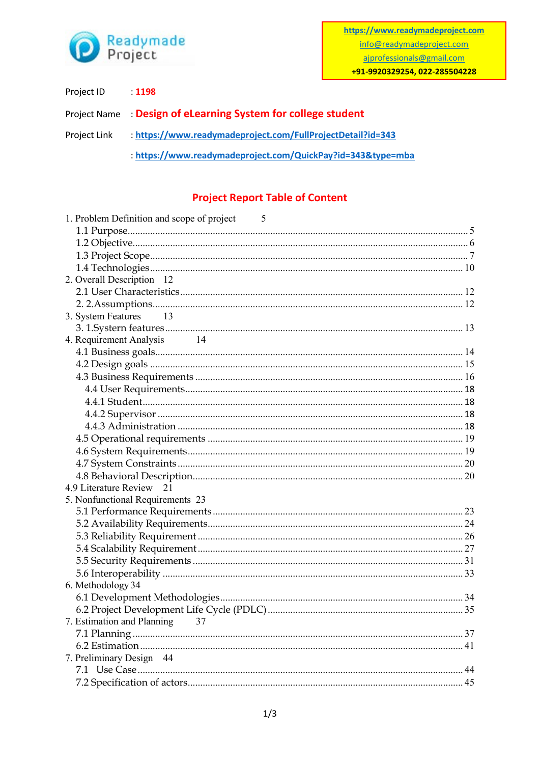

| Project ID   | : 1198                                                         |
|--------------|----------------------------------------------------------------|
|              | Project Name: : Design of eLearning System for college student |
| Project Link | : https://www.readymadeproject.com/FullProjectDetail?id=343    |
|              | : https://www.readymadeproject.com/QuickPay?id=343&type=mba    |

## **Project Report Table of Content**

| 1. Problem Definition and scope of project<br>$\overline{5}$ |  |
|--------------------------------------------------------------|--|
|                                                              |  |
|                                                              |  |
|                                                              |  |
|                                                              |  |
| 2. Overall Description 12                                    |  |
|                                                              |  |
|                                                              |  |
| 3. System Features<br>13                                     |  |
|                                                              |  |
| 4. Requirement Analysis<br>14                                |  |
|                                                              |  |
|                                                              |  |
|                                                              |  |
|                                                              |  |
|                                                              |  |
|                                                              |  |
|                                                              |  |
|                                                              |  |
|                                                              |  |
|                                                              |  |
|                                                              |  |
| 4.9 Literature Review 21                                     |  |
| 5. Nonfunctional Requirements 23                             |  |
|                                                              |  |
|                                                              |  |
|                                                              |  |
|                                                              |  |
|                                                              |  |
|                                                              |  |
| 6. Methodology 34                                            |  |
|                                                              |  |
|                                                              |  |
| 7. Estimation and Planning 37                                |  |
|                                                              |  |
|                                                              |  |
| 7. Preliminary Design 44                                     |  |
|                                                              |  |
|                                                              |  |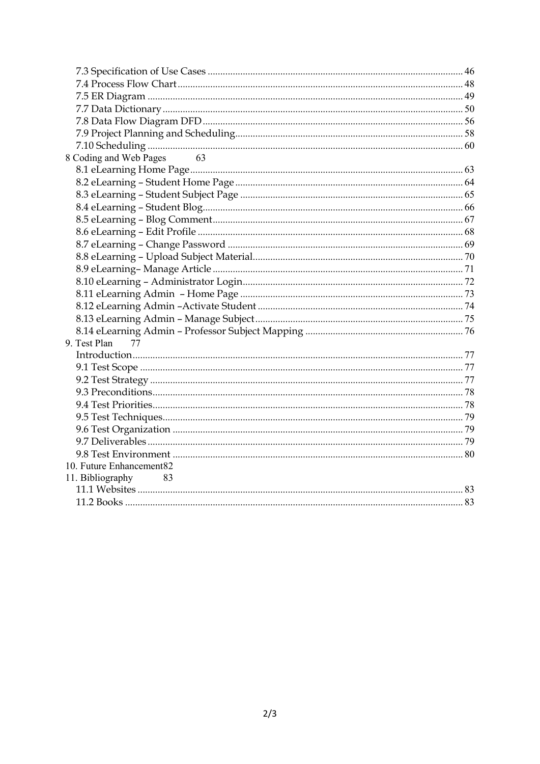| 8 Coding and Web Pages 63 |  |
|---------------------------|--|
|                           |  |
|                           |  |
|                           |  |
|                           |  |
|                           |  |
|                           |  |
|                           |  |
|                           |  |
|                           |  |
|                           |  |
|                           |  |
|                           |  |
|                           |  |
|                           |  |
| 9. Test Plan<br>77        |  |
|                           |  |
|                           |  |
|                           |  |
|                           |  |
|                           |  |
|                           |  |
|                           |  |
|                           |  |
|                           |  |
| 10. Future Enhancement82  |  |
| 11. Bibliography<br>83    |  |
|                           |  |
|                           |  |